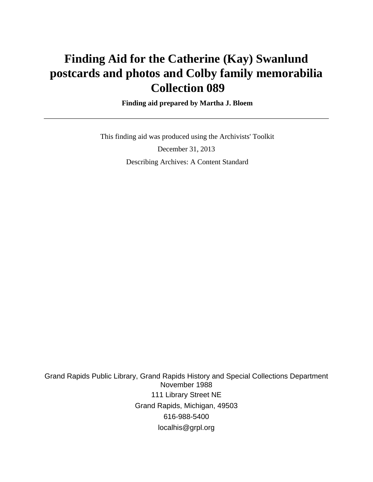# **Finding Aid for the Catherine (Kay) Swanlund postcards and photos and Colby family memorabilia Collection 089**

 **Finding aid prepared by Martha J. Bloem**

 This finding aid was produced using the Archivists' Toolkit December 31, 2013 Describing Archives: A Content Standard

Grand Rapids Public Library, Grand Rapids History and Special Collections Department November 1988 111 Library Street NE Grand Rapids, Michigan, 49503 616-988-5400 localhis@grpl.org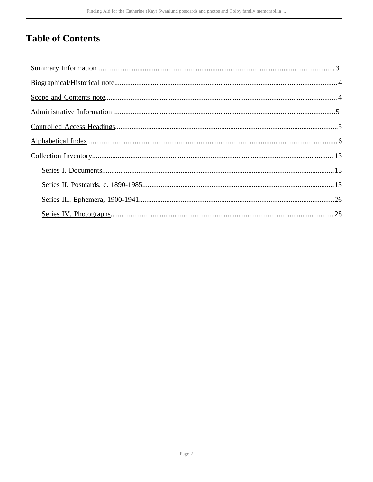## **Table of Contents**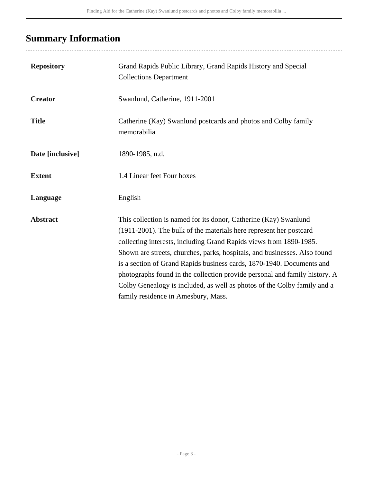## <span id="page-2-0"></span>**Summary Information**

| <b>Repository</b> | Grand Rapids Public Library, Grand Rapids History and Special<br><b>Collections Department</b>                                                                                                                                                                                                                                                                                                                                                                                                                                                                      |
|-------------------|---------------------------------------------------------------------------------------------------------------------------------------------------------------------------------------------------------------------------------------------------------------------------------------------------------------------------------------------------------------------------------------------------------------------------------------------------------------------------------------------------------------------------------------------------------------------|
| <b>Creator</b>    | Swanlund, Catherine, 1911-2001                                                                                                                                                                                                                                                                                                                                                                                                                                                                                                                                      |
| <b>Title</b>      | Catherine (Kay) Swanlund postcards and photos and Colby family<br>memorabilia                                                                                                                                                                                                                                                                                                                                                                                                                                                                                       |
| Date [inclusive]  | 1890-1985, n.d.                                                                                                                                                                                                                                                                                                                                                                                                                                                                                                                                                     |
| <b>Extent</b>     | 1.4 Linear feet Four boxes                                                                                                                                                                                                                                                                                                                                                                                                                                                                                                                                          |
| Language          | English                                                                                                                                                                                                                                                                                                                                                                                                                                                                                                                                                             |
| <b>Abstract</b>   | This collection is named for its donor, Catherine (Kay) Swanlund<br>(1911-2001). The bulk of the materials here represent her postcard<br>collecting interests, including Grand Rapids views from 1890-1985.<br>Shown are streets, churches, parks, hospitals, and businesses. Also found<br>is a section of Grand Rapids business cards, 1870-1940. Documents and<br>photographs found in the collection provide personal and family history. A<br>Colby Genealogy is included, as well as photos of the Colby family and a<br>family residence in Amesbury, Mass. |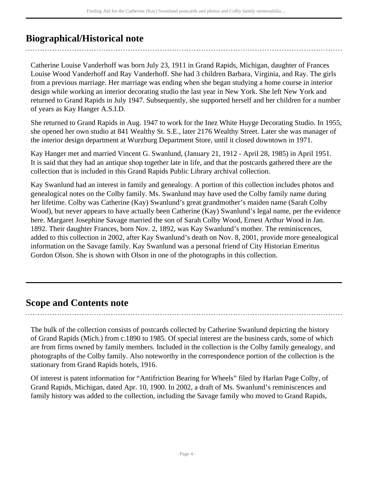## <span id="page-3-0"></span>**Biographical/Historical note**

Catherine Louise Vanderhoff was born July 23, 1911 in Grand Rapids, Michigan, daughter of Frances Louise Wood Vanderhoff and Ray Vanderhoff. She had 3 children Barbara, Virginia, and Ray. The girls from a previous marriage. Her marriage was ending when she began studying a home course in interior design while working an interior decorating studio the last year in New York. She left New York and returned to Grand Rapids in July 1947. Subsequently, she supported herself and her children for a number of years as Kay Hanger A.S.I.D.

She returned to Grand Rapids in Aug. 1947 to work for the Inez White Huyge Decorating Studio. In 1955, she opened her own studio at 841 Wealthy St. S.E., later 2176 Wealthy Street. Later she was manager of the interior design department at Wurzburg Department Store, until it closed downtown in 1971.

Kay Hanger met and married Vincent G. Swanlund, (January 21, 1912 - April 28, 1985) in April 1951. It is said that they had an antique shop together late in life, and that the postcards gathered there are the collection that is included in this Grand Rapids Public Library archival collection.

Kay Swanlund had an interest in family and genealogy. A portion of this collection includes photos and genealogical notes on the Colby family. Ms. Swanlund may have used the Colby family name during her lifetime. Colby was Catherine (Kay) Swanlund's great grandmother's maiden name (Sarah Colby Wood), but never appears to have actually been Catherine (Kay) Swanlund's legal name, per the evidence here. Margaret Josephine Savage married the son of Sarah Colby Wood, Ernest Arthur Wood in Jan. 1892. Their daughter Frances, born Nov. 2, 1892, was Kay Swanlund's mother. The reminiscences, added to this collection in 2002, after Kay Swanlund's death on Nov. 8, 2001, provide more genealogical information on the Savage family. Kay Swanlund was a personal friend of City Historian Emeritus Gordon Olson. She is shown with Olson in one of the photographs in this collection.

### <span id="page-3-1"></span>**Scope and Contents note**

The bulk of the collection consists of postcards collected by Catherine Swanlund depicting the history of Grand Rapids (Mich.) from c.1890 to 1985. Of special interest are the business cards, some of which are from firms owned by family members. Included in the collection is the Colby family genealogy, and photographs of the Colby family. Also noteworthy in the correspondence portion of the collection is the stationary from Grand Rapids hotels, 1916.

Of interest is patent information for "Antifriction Bearing for Wheels" filed by Harlan Page Colby, of Grand Rapids, Michigan, dated Apr. 10, 1900. In 2002, a draft of Ms. Swanlund's reminiscences and family history was added to the collection, including the Savage family who moved to Grand Rapids,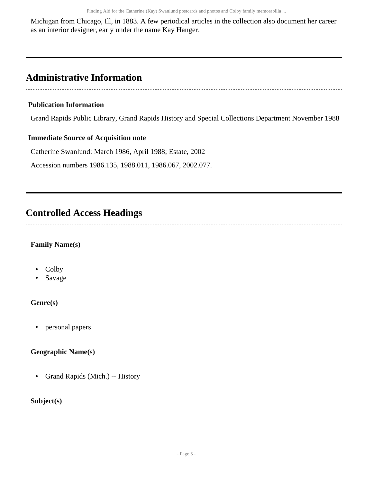Michigan from Chicago, Ill, in 1883. A few periodical articles in the collection also document her career as an interior designer, early under the name Kay Hanger.

## <span id="page-4-0"></span>**Administrative Information**

### **Publication Information**

Grand Rapids Public Library, Grand Rapids History and Special Collections Department November 1988

### **Immediate Source of Acquisition note**

Catherine Swanlund: March 1986, April 1988; Estate, 2002

Accession numbers 1986.135, 1988.011, 1986.067, 2002.077.

## <span id="page-4-1"></span>**Controlled Access Headings**

### **Family Name(s)**

- Colby
- Savage

### **Genre(s)**

• personal papers

### **Geographic Name(s)**

• Grand Rapids (Mich.) -- History

### **Subject(s)**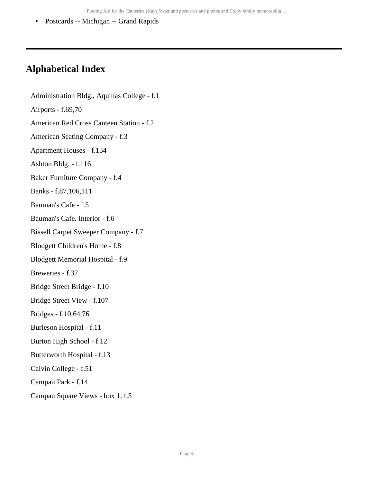Finding Aid for the Catherine (Kay) Swanlund postcards and photos and Colby family memorabilia ...

• Postcards -- Michigan -- Grand Rapids

### <span id="page-5-0"></span>**Alphabetical Index**

Administration Bldg., Aquinas College - f.1 Airports - f.69,70 American Red Cross Canteen Station - f.2 American Seating Company - f.3 Apartment Houses - f.134 Ashton Bldg. - f.116 Baker Furniture Company - f.4 Banks - f.87,106,111 Bauman's Cafe - f.5 Bauman's Cafe. Interior - f.6 Bissell Carpet Sweeper Company - f.7 Blodgett Children's Home - f.8 Blodgett Memorial Hospital - f.9 Breweries - f.37 Bridge Street Bridge - f.10 Bridge Street View - f.107 Bridges - f.10,64,76 Burleson Hospital - f.11 Burton High School - f.12 Butterworth Hospital - f.13 Calvin College - f.51 Campau Park - f.14 Campau Square Views - box 1, f.5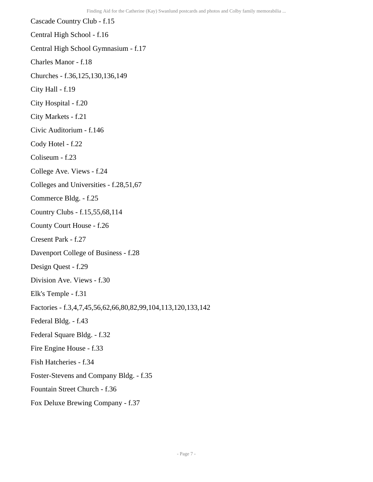Cascade Country Club - f.15 Central High School - f.16 Central High School Gymnasium - f.17 Charles Manor - f.18 Churches - f.36,125,130,136,149 City Hall - f.19 City Hospital - f.20 City Markets - f.21 Civic Auditorium - f.146 Cody Hotel - f.22 Coliseum - f.23 College Ave. Views - f.24 Colleges and Universities - f.28,51,67 Commerce Bldg. - f.25 Country Clubs - f.15,55,68,114 County Court House - f.26 Cresent Park - f.27 Davenport College of Business - f.28 Design Quest - f.29 Division Ave. Views - f.30 Elk's Temple - f.31 Factories - f.3,4,7,45,56,62,66,80,82,99,104,113,120,133,142 Federal Bldg. - f.43 Federal Square Bldg. - f.32 Fire Engine House - f.33 Fish Hatcheries - f.34 Foster-Stevens and Company Bldg. - f.35 Fountain Street Church - f.36 Fox Deluxe Brewing Company - f.37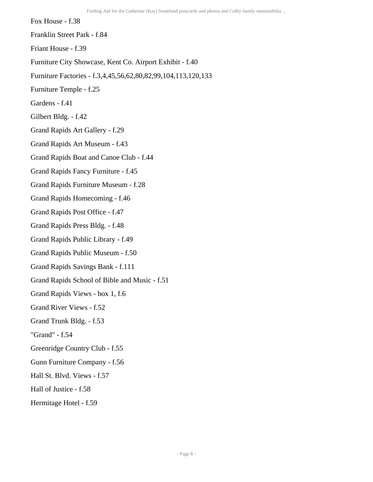Fox House - f.38 Franklin Street Park - f.84 Friant House - f.39 Furniture City Showcase, Kent Co. Airport Exhibit - f.40 Furniture Factories - f.3,4,45,56,62,80,82,99,104,113,120,133 Furniture Temple - f.25 Gardens - f.41 Gilbert Bldg. - f.42 Grand Rapids Art Gallery - f.29 Grand Rapids Art Museum - f.43 Grand Rapids Boat and Canoe Club - f.44 Grand Rapids Fancy Furniture - f.45 Grand Rapids Furniture Museum - f.28 Grand Rapids Homecoming - f.46 Grand Rapids Post Office - f.47 Grand Rapids Press Bldg. - f.48 Grand Rapids Public Library - f.49 Grand Rapids Public Museum - f.50 Grand Rapids Savings Bank - f.111 Grand Rapids School of Bible and Music - f.51 Grand Rapids Views - box 1, f.6 Grand River Views - f.52 Grand Trunk Bldg. - f.53 "Grand" - f.54 Greenridge Country Club - f.55 Gunn Furniture Company - f.56 Hall St. Blvd. Views - f.57 Hall of Justice - f.58

Hermitage Hotel - f.59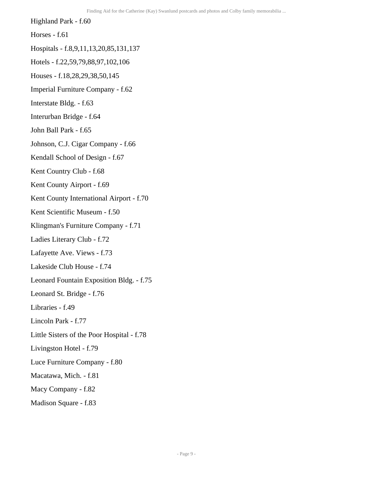Highland Park - f.60

Horses - f.61

Hospitals - f.8,9,11,13,20,85,131,137

Hotels - f.22,59,79,88,97,102,106

Houses - f.18,28,29,38,50,145

Imperial Furniture Company - f.62

Interstate Bldg. - f.63

Interurban Bridge - f.64

John Ball Park - f.65

Johnson, C.J. Cigar Company - f.66

Kendall School of Design - f.67

Kent Country Club - f.68

Kent County Airport - f.69

Kent County International Airport - f.70

Kent Scientific Museum - f.50

Klingman's Furniture Company - f.71

Ladies Literary Club - f.72

Lafayette Ave. Views - f.73

Lakeside Club House - f.74

Leonard Fountain Exposition Bldg. - f.75

Leonard St. Bridge - f.76

Libraries - f.49

Lincoln Park - f.77

Little Sisters of the Poor Hospital - f.78

Livingston Hotel - f.79

Luce Furniture Company - f.80

Macatawa, Mich. - f.81

Macy Company - f.82

Madison Square - f.83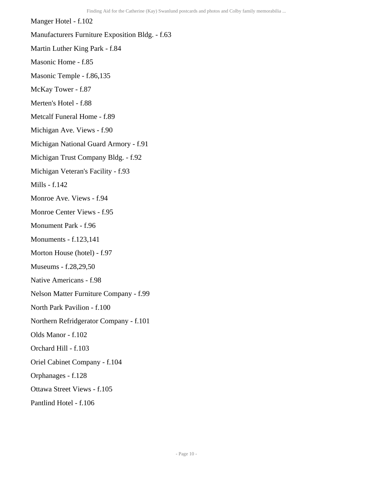Manger Hotel - f.102 Manufacturers Furniture Exposition Bldg. - f.63 Martin Luther King Park - f.84 Masonic Home - f.85 Masonic Temple - f.86,135 McKay Tower - f.87 Merten's Hotel - f.88 Metcalf Funeral Home - f.89 Michigan Ave. Views - f.90 Michigan National Guard Armory - f.91 Michigan Trust Company Bldg. - f.92 Michigan Veteran's Facility - f.93 Mills - f.142 Monroe Ave. Views - f.94 Monroe Center Views - f.95 Monument Park - f.96 Monuments - f.123,141 Morton House (hotel) - f.97 Museums - f.28,29,50 Native Americans - f.98 Nelson Matter Furniture Company - f.99 North Park Pavilion - f.100 Northern Refridgerator Company - f.101 Olds Manor - f.102 Orchard Hill - f.103 Oriel Cabinet Company - f.104 Orphanages - f.128 Ottawa Street Views - f.105 Pantlind Hotel - f.106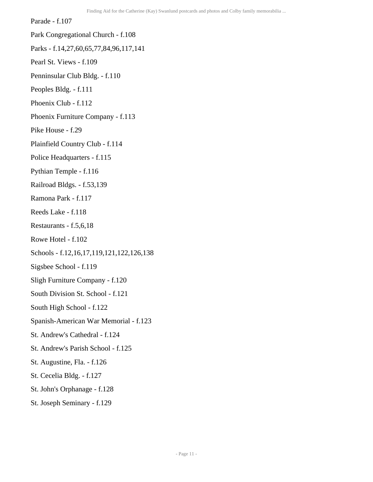Parade - f.107

- Park Congregational Church f.108
- Parks f.14,27,60,65,77,84,96,117,141
- Pearl St. Views f.109
- Penninsular Club Bldg. f.110
- Peoples Bldg. f.111
- Phoenix Club f.112
- Phoenix Furniture Company f.113
- Pike House f.29
- Plainfield Country Club f.114
- Police Headquarters f.115
- Pythian Temple f.116
- Railroad Bldgs. f.53,139
- Ramona Park f.117
- Reeds Lake f.118
- Restaurants f.5,6,18
- Rowe Hotel f.102
- Schools f.12,16,17,119,121,122,126,138
- Sigsbee School f.119
- Sligh Furniture Company f.120
- South Division St. School f.121
- South High School f.122
- Spanish-American War Memorial f.123
- St. Andrew's Cathedral f.124
- St. Andrew's Parish School f.125
- St. Augustine, Fla. f.126
- St. Cecelia Bldg. f.127
- St. John's Orphanage f.128
- St. Joseph Seminary f.129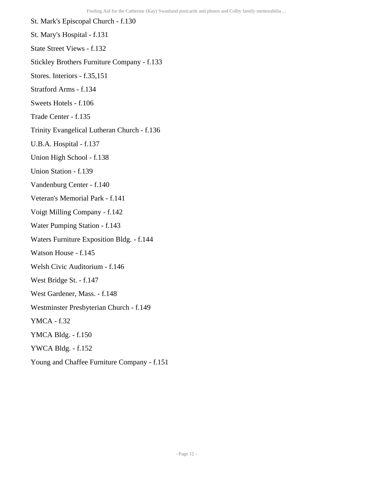St. Mark's Episcopal Church - f.130 St. Mary's Hospital - f.131 State Street Views - f.132 Stickley Brothers Furniture Company - f.133 Stores. Interiors - f.35,151 Stratford Arms - f.134 Sweets Hotels - f.106 Trade Center - f.135 Trinity Evangelical Lutheran Church - f.136 U.B.A. Hospital - f.137 Union High School - f.138 Union Station - f.139 Vandenburg Center - f.140 Veteran's Memorial Park - f.141 Voigt Milling Company - f.142 Water Pumping Station - f.143 Waters Furniture Exposition Bldg. - f.144 Watson House - f.145 Welsh Civic Auditorium - f.146 West Bridge St. - f.147 West Gardener, Mass. - f.148 Westminster Presbyterian Church - f.149 YMCA - f.32 YMCA Bldg. - f.150 YWCA Bldg. - f.152 Young and Chaffee Furniture Company - f.151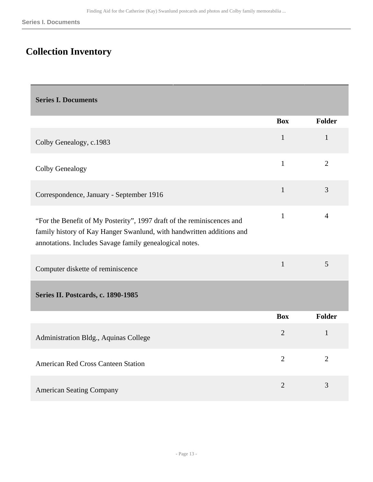## <span id="page-12-0"></span>**Collection Inventory**

<span id="page-12-2"></span><span id="page-12-1"></span>

| <b>Series I. Documents</b>                                                                                                                                                                                 |                |                |
|------------------------------------------------------------------------------------------------------------------------------------------------------------------------------------------------------------|----------------|----------------|
|                                                                                                                                                                                                            | <b>Box</b>     | <b>Folder</b>  |
| Colby Genealogy, c.1983                                                                                                                                                                                    | $\mathbf{1}$   | $\mathbf{1}$   |
| <b>Colby Genealogy</b>                                                                                                                                                                                     | $\mathbf{1}$   | $\overline{2}$ |
| Correspondence, January - September 1916                                                                                                                                                                   | $\mathbf{1}$   | 3              |
| "For the Benefit of My Posterity", 1997 draft of the reminiscences and<br>family history of Kay Hanger Swanlund, with handwritten additions and<br>annotations. Includes Savage family genealogical notes. | $\mathbf{1}$   | $\overline{4}$ |
| Computer diskette of reminiscence                                                                                                                                                                          | $\mathbf{1}$   | 5              |
| Series II. Postcards, c. 1890-1985                                                                                                                                                                         |                |                |
|                                                                                                                                                                                                            | <b>Box</b>     | <b>Folder</b>  |
| Administration Bldg., Aquinas College                                                                                                                                                                      | $\overline{2}$ | $\mathbf{1}$   |
| <b>American Red Cross Canteen Station</b>                                                                                                                                                                  | $\overline{2}$ | $\overline{2}$ |
| <b>American Seating Company</b>                                                                                                                                                                            | $\overline{2}$ | 3              |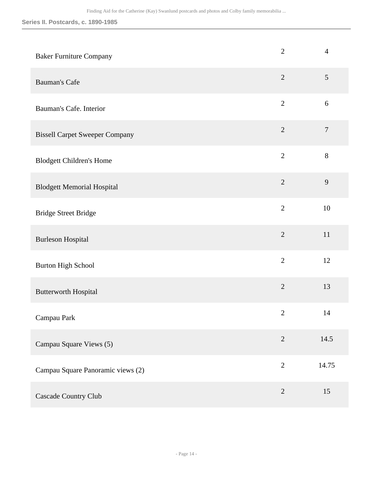| <b>Baker Furniture Company</b>        | $\overline{2}$ | $\overline{4}$   |
|---------------------------------------|----------------|------------------|
| <b>Bauman's Cafe</b>                  | $\overline{2}$ | $\mathfrak{S}$   |
| Bauman's Cafe. Interior               | $\overline{2}$ | 6                |
| <b>Bissell Carpet Sweeper Company</b> | $\overline{2}$ | $\boldsymbol{7}$ |
| <b>Blodgett Children's Home</b>       | $\overline{2}$ | $8\,$            |
| <b>Blodgett Memorial Hospital</b>     | $\overline{2}$ | 9                |
| <b>Bridge Street Bridge</b>           | $\overline{2}$ | 10               |
| <b>Burleson Hospital</b>              | $\overline{2}$ | 11               |
| <b>Burton High School</b>             | $\overline{2}$ | 12               |
| <b>Butterworth Hospital</b>           | $\overline{2}$ | 13               |
| Campau Park                           | $\overline{2}$ | 14               |
| Campau Square Views (5)               | $\overline{2}$ | 14.5             |
| Campau Square Panoramic views (2)     | $\overline{2}$ | 14.75            |
| Cascade Country Club                  | $\overline{2}$ | 15               |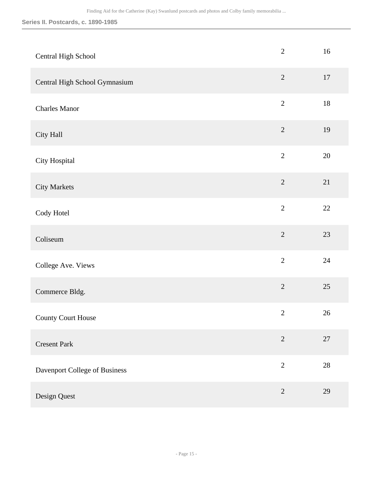| Central High School           | $\mathbf{2}$   | 16     |
|-------------------------------|----------------|--------|
| Central High School Gymnasium | $\overline{2}$ | 17     |
| <b>Charles Manor</b>          | $\overline{2}$ | $18\,$ |
| City Hall                     | $\sqrt{2}$     | 19     |
| City Hospital                 | $\overline{2}$ | $20\,$ |
| <b>City Markets</b>           | $\overline{2}$ | $21\,$ |
| Cody Hotel                    | $\overline{2}$ | $22\,$ |
| Coliseum                      | $\overline{2}$ | 23     |
| College Ave. Views            | $\overline{2}$ | 24     |
| Commerce Bldg.                | $\sqrt{2}$     | $25\,$ |
| <b>County Court House</b>     | $\sqrt{2}$     | 26     |
| <b>Cresent Park</b>           | $\sqrt{2}$     | $27\,$ |
| Davenport College of Business | $\overline{2}$ | $28\,$ |
| Design Quest                  | $\overline{2}$ | 29     |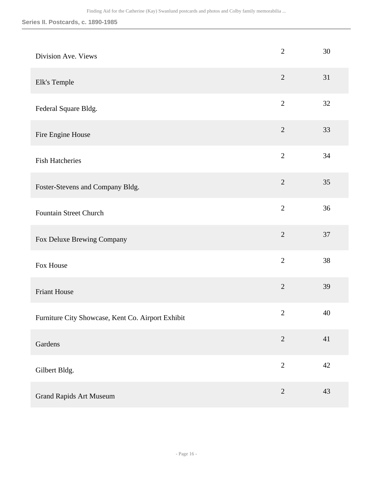| Division Ave. Views                               | $\overline{2}$ | 30 |
|---------------------------------------------------|----------------|----|
| Elk's Temple                                      | $\sqrt{2}$     | 31 |
| Federal Square Bldg.                              | $\overline{2}$ | 32 |
| Fire Engine House                                 | $\overline{2}$ | 33 |
| <b>Fish Hatcheries</b>                            | $\overline{2}$ | 34 |
| Foster-Stevens and Company Bldg.                  | $\overline{2}$ | 35 |
| <b>Fountain Street Church</b>                     | $\overline{2}$ | 36 |
| Fox Deluxe Brewing Company                        | $\overline{2}$ | 37 |
| Fox House                                         | $\overline{2}$ | 38 |
| <b>Friant House</b>                               | $\overline{2}$ | 39 |
| Furniture City Showcase, Kent Co. Airport Exhibit | $\sqrt{2}$     | 40 |
| Gardens                                           | $\overline{2}$ | 41 |
| Gilbert Bldg.                                     | $\overline{2}$ | 42 |
| <b>Grand Rapids Art Museum</b>                    | $\sqrt{2}$     | 43 |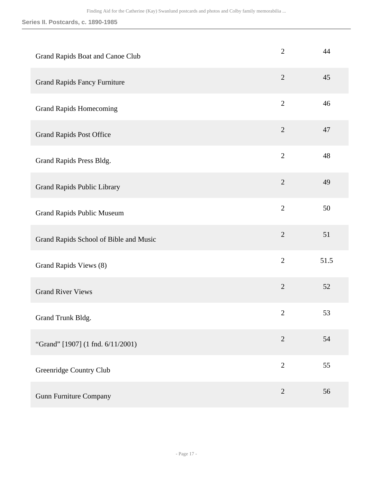| Grand Rapids Boat and Canoe Club       | $\overline{2}$ | 44   |
|----------------------------------------|----------------|------|
| <b>Grand Rapids Fancy Furniture</b>    | $\mathfrak{2}$ | 45   |
| <b>Grand Rapids Homecoming</b>         | $\overline{2}$ | 46   |
| <b>Grand Rapids Post Office</b>        | $\overline{2}$ | 47   |
| Grand Rapids Press Bldg.               | $\overline{2}$ | 48   |
| Grand Rapids Public Library            | $\overline{2}$ | 49   |
| <b>Grand Rapids Public Museum</b>      | $\overline{2}$ | 50   |
| Grand Rapids School of Bible and Music | $\overline{2}$ | 51   |
| Grand Rapids Views (8)                 | $\overline{2}$ | 51.5 |
| <b>Grand River Views</b>               | $\overline{2}$ | 52   |
| Grand Trunk Bldg.                      | $\overline{2}$ | 53   |
| "Grand" [1907] (1 fnd. 6/11/2001)      | $\overline{2}$ | 54   |
| Greenridge Country Club                | $\overline{2}$ | 55   |
| <b>Gunn Furniture Company</b>          | $\sqrt{2}$     | 56   |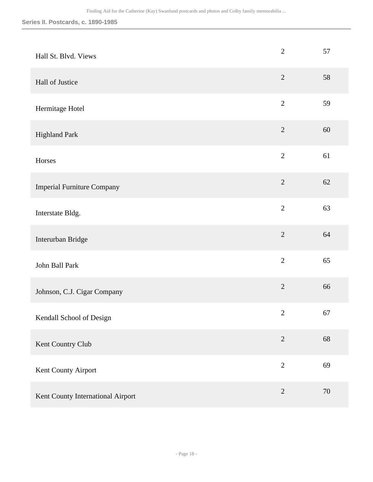| Hall St. Blvd. Views              | $\overline{2}$ | 57     |
|-----------------------------------|----------------|--------|
| Hall of Justice                   | $\overline{2}$ | 58     |
| Hermitage Hotel                   | $\overline{2}$ | 59     |
| <b>Highland Park</b>              | $\overline{2}$ | 60     |
| Horses                            | $\overline{2}$ | 61     |
| <b>Imperial Furniture Company</b> | $\overline{2}$ | 62     |
| Interstate Bldg.                  | $\overline{2}$ | 63     |
| Interurban Bridge                 | $\overline{2}$ | 64     |
| John Ball Park                    | $\overline{2}$ | 65     |
| Johnson, C.J. Cigar Company       | $\overline{2}$ | 66     |
| Kendall School of Design          | $\overline{2}$ | 67     |
| Kent Country Club                 | $\sqrt{2}$     | 68     |
| Kent County Airport               | $\overline{2}$ | 69     |
| Kent County International Airport | $\sqrt{2}$     | $70\,$ |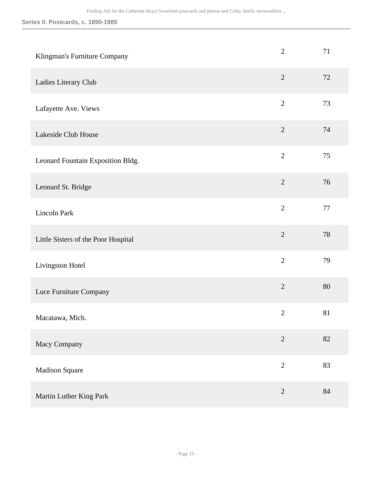| Klingman's Furniture Company        | $\overline{2}$ | 71     |
|-------------------------------------|----------------|--------|
| Ladies Literary Club                | $\overline{2}$ | 72     |
| Lafayette Ave. Views                | $\overline{2}$ | 73     |
| Lakeside Club House                 | $\sqrt{2}$     | 74     |
| Leonard Fountain Exposition Bldg.   | $\overline{2}$ | 75     |
| Leonard St. Bridge                  | $\overline{2}$ | 76     |
| Lincoln Park                        | $\overline{2}$ | 77     |
| Little Sisters of the Poor Hospital | $\overline{2}$ | 78     |
| Livingston Hotel                    | $\overline{2}$ | 79     |
| Luce Furniture Company              | $\overline{2}$ | 80     |
| Macatawa, Mich.                     | $\mathbf{2}$   | 81     |
| Macy Company                        | $\overline{2}$ | 82     |
| <b>Madison Square</b>               | $\overline{2}$ | 83     |
| Martin Luther King Park             | $\overline{2}$ | $84\,$ |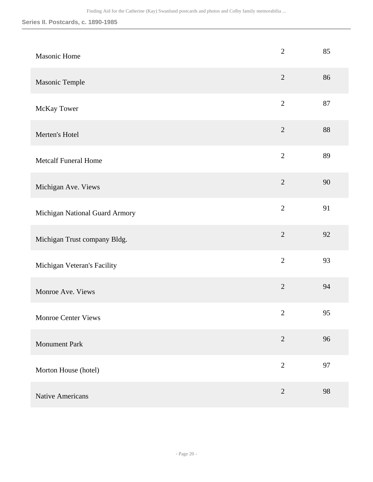| Masonic Home                   | $\overline{2}$ | 85 |
|--------------------------------|----------------|----|
| Masonic Temple                 | $\overline{2}$ | 86 |
| McKay Tower                    | $\overline{2}$ | 87 |
| Merten's Hotel                 | $\overline{2}$ | 88 |
| <b>Metcalf Funeral Home</b>    | $\overline{2}$ | 89 |
| Michigan Ave. Views            | $\overline{2}$ | 90 |
| Michigan National Guard Armory | $\overline{2}$ | 91 |
| Michigan Trust company Bldg.   | $\overline{2}$ | 92 |
| Michigan Veteran's Facility    | $\overline{2}$ | 93 |
| Monroe Ave. Views              | $\overline{2}$ | 94 |
| Monroe Center Views            | $\overline{c}$ | 95 |
| <b>Monument Park</b>           | $\overline{2}$ | 96 |
| Morton House (hotel)           | $\overline{2}$ | 97 |
| <b>Native Americans</b>        | $\overline{2}$ | 98 |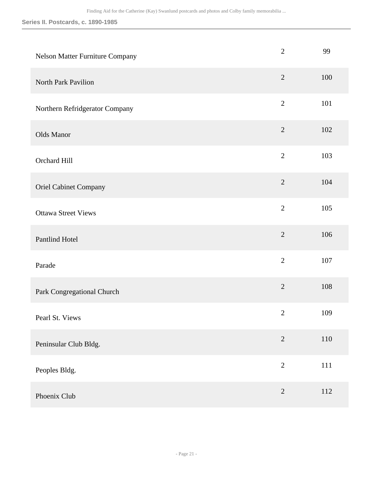| Nelson Matter Furniture Company | $\mathbf{2}$   | 99  |
|---------------------------------|----------------|-----|
| North Park Pavilion             | $\sqrt{2}$     | 100 |
| Northern Refridgerator Company  | $\overline{2}$ | 101 |
| Olds Manor                      | $\overline{2}$ | 102 |
| Orchard Hill                    | $\overline{2}$ | 103 |
| <b>Oriel Cabinet Company</b>    | $\overline{2}$ | 104 |
| <b>Ottawa Street Views</b>      | $\overline{2}$ | 105 |
| Pantlind Hotel                  | $\sqrt{2}$     | 106 |
| Parade                          | $\overline{2}$ | 107 |
| Park Congregational Church      | $\overline{2}$ | 108 |
| Pearl St. Views                 | $\sqrt{2}$     | 109 |
| Peninsular Club Bldg.           | $\overline{2}$ | 110 |
| Peoples Bldg.                   | $\overline{2}$ | 111 |
| Phoenix Club                    | $\sqrt{2}$     | 112 |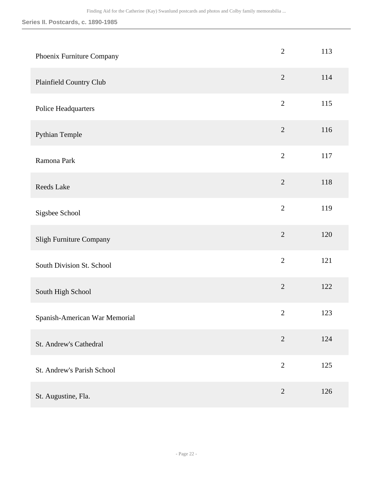| Phoenix Furniture Company     | $\overline{2}$ | 113 |
|-------------------------------|----------------|-----|
| Plainfield Country Club       | $\overline{2}$ | 114 |
| Police Headquarters           | $\overline{2}$ | 115 |
| Pythian Temple                | $\overline{2}$ | 116 |
| Ramona Park                   | $\overline{2}$ | 117 |
| <b>Reeds Lake</b>             | $\overline{2}$ | 118 |
| Sigsbee School                | $\overline{2}$ | 119 |
| Sligh Furniture Company       | $\overline{2}$ | 120 |
| South Division St. School     | $\overline{2}$ | 121 |
| South High School             | $\overline{2}$ | 122 |
| Spanish-American War Memorial | $\overline{2}$ | 123 |
| St. Andrew's Cathedral        | $\overline{2}$ | 124 |
| St. Andrew's Parish School    | $\sqrt{2}$     | 125 |
| St. Augustine, Fla.           | $\overline{2}$ | 126 |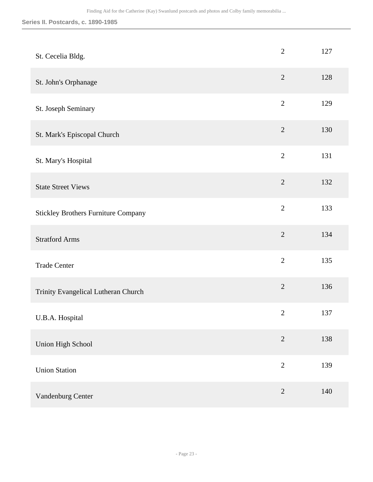| St. Cecelia Bldg.                          | $\overline{2}$ | 127 |
|--------------------------------------------|----------------|-----|
| St. John's Orphanage                       | $\overline{2}$ | 128 |
| St. Joseph Seminary                        | $\overline{2}$ | 129 |
| St. Mark's Episcopal Church                | $\sqrt{2}$     | 130 |
| St. Mary's Hospital                        | $\overline{2}$ | 131 |
| <b>State Street Views</b>                  | $\overline{2}$ | 132 |
| <b>Stickley Brothers Furniture Company</b> | $\overline{2}$ | 133 |
| <b>Stratford Arms</b>                      | $\overline{2}$ | 134 |
| <b>Trade Center</b>                        | $\overline{2}$ | 135 |
| Trinity Evangelical Lutheran Church        | $\sqrt{2}$     | 136 |
| U.B.A. Hospital                            | $\sqrt{2}$     | 137 |
| Union High School                          | $\sqrt{2}$     | 138 |
| <b>Union Station</b>                       | $\sqrt{2}$     | 139 |
| Vandenburg Center                          | $\overline{2}$ | 140 |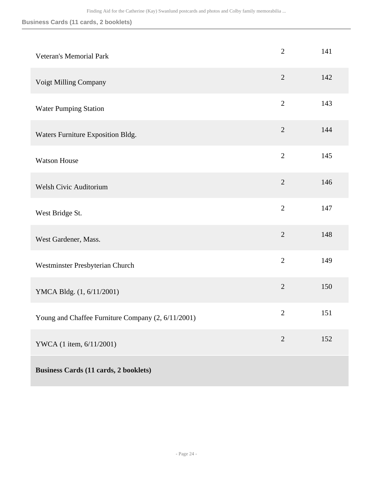### **Business Cards (11 cards, 2 booklets)**

| <b>Veteran's Memorial Park</b>                     | $\overline{2}$ | 141 |
|----------------------------------------------------|----------------|-----|
| Voigt Milling Company                              | $\overline{2}$ | 142 |
| <b>Water Pumping Station</b>                       | $\overline{2}$ | 143 |
| Waters Furniture Exposition Bldg.                  | $\overline{2}$ | 144 |
| <b>Watson House</b>                                | $\overline{2}$ | 145 |
| <b>Welsh Civic Auditorium</b>                      | $\overline{2}$ | 146 |
| West Bridge St.                                    | $\overline{2}$ | 147 |
| West Gardener, Mass.                               | $\overline{2}$ | 148 |
| Westminster Presbyterian Church                    | $\overline{2}$ | 149 |
| YMCA Bldg. (1, 6/11/2001)                          | $\overline{2}$ | 150 |
| Young and Chaffee Furniture Company (2, 6/11/2001) | $\overline{2}$ | 151 |
| YWCA (1 item, 6/11/2001)                           | $\overline{2}$ | 152 |
| <b>Business Cards (11 cards, 2 booklets)</b>       |                |     |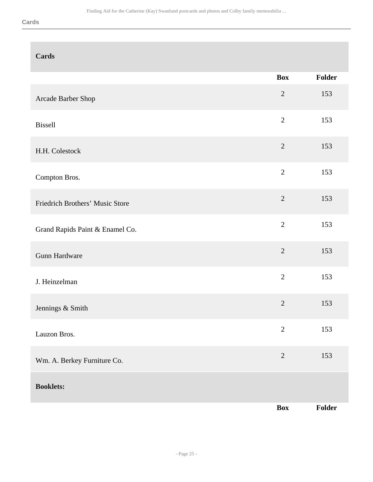| <b>Cards</b>                    |                |        |
|---------------------------------|----------------|--------|
|                                 | <b>Box</b>     | Folder |
| Arcade Barber Shop              | $\overline{2}$ | 153    |
| <b>Bissell</b>                  | $\overline{2}$ | 153    |
| H.H. Colestock                  | $\overline{2}$ | 153    |
| Compton Bros.                   | $\overline{2}$ | 153    |
| Friedrich Brothers' Music Store | $\overline{2}$ | 153    |
| Grand Rapids Paint & Enamel Co. | $\overline{2}$ | 153    |
| Gunn Hardware                   | $\overline{2}$ | 153    |
| J. Heinzelman                   | $\overline{2}$ | 153    |
| Jennings & Smith                | $\overline{2}$ | 153    |
| Lauzon Bros.                    | $\overline{2}$ | 153    |
| Wm. A. Berkey Furniture Co.     | $\sqrt{2}$     | 153    |
| <b>Booklets:</b>                |                |        |
|                                 | <b>Box</b>     | Folder |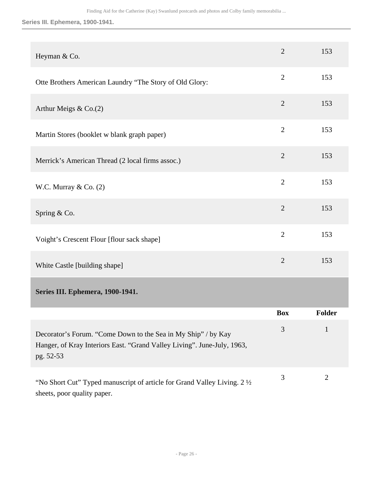### **Series III. Ephemera, 1900-1941.**

<span id="page-25-0"></span>

| Heyman & Co.                                                                                                                                          | $\overline{2}$ | 153            |
|-------------------------------------------------------------------------------------------------------------------------------------------------------|----------------|----------------|
| Otte Brothers American Laundry "The Story of Old Glory:                                                                                               | $\overline{2}$ | 153            |
| Arthur Meigs $& Co.(2)$                                                                                                                               | $\overline{2}$ | 153            |
| Martin Stores (booklet w blank graph paper)                                                                                                           | $\overline{2}$ | 153            |
| Merrick's American Thread (2 local firms assoc.)                                                                                                      | $\overline{2}$ | 153            |
| W.C. Murray $& Co. (2)$                                                                                                                               | $\overline{2}$ | 153            |
| Spring & Co.                                                                                                                                          | $\overline{2}$ | 153            |
| Voight's Crescent Flour [flour sack shape]                                                                                                            | $\overline{2}$ | 153            |
| White Castle [building shape]                                                                                                                         | $\overline{2}$ | 153            |
| Series III. Ephemera, 1900-1941.                                                                                                                      |                |                |
|                                                                                                                                                       | <b>Box</b>     | Folder         |
| Decorator's Forum. "Come Down to the Sea in My Ship" / by Kay<br>Hanger, of Kray Interiors East. "Grand Valley Living". June-July, 1963,<br>pg. 52-53 | 3              | $\mathbf{1}$   |
| "No Short Cut" Typed manuscript of article for Grand Valley Living. 2 1/2<br>sheets, poor quality paper.                                              | 3              | $\overline{2}$ |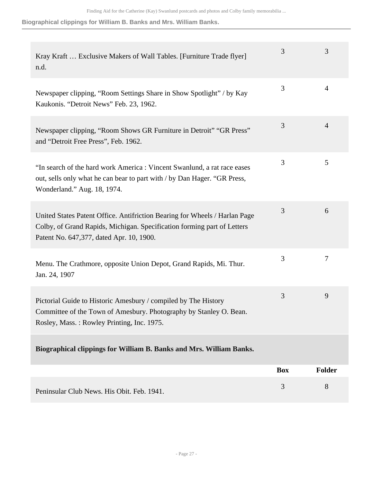**Biographical clippings for William B. Banks and Mrs. William Banks.**

| Kray Kraft  Exclusive Makers of Wall Tables. [Furniture Trade flyer]<br>n.d.                                                                                                                      | 3          | 3              |
|---------------------------------------------------------------------------------------------------------------------------------------------------------------------------------------------------|------------|----------------|
| Newspaper clipping, "Room Settings Share in Show Spotlight" / by Kay<br>Kaukonis. "Detroit News" Feb. 23, 1962.                                                                                   | 3          | 4              |
| Newspaper clipping, "Room Shows GR Furniture in Detroit" "GR Press"<br>and "Detroit Free Press", Feb. 1962.                                                                                       | 3          | $\overline{4}$ |
| "In search of the hard work America : Vincent Swanlund, a rat race eases<br>out, sells only what he can bear to part with / by Dan Hager. "GR Press,<br>Wonderland." Aug. 18, 1974.               | 3          | 5              |
| United States Patent Office. Antifriction Bearing for Wheels / Harlan Page<br>Colby, of Grand Rapids, Michigan. Specification forming part of Letters<br>Patent No. 647,377, dated Apr. 10, 1900. | 3          | 6              |
| Menu. The Crathmore, opposite Union Depot, Grand Rapids, Mi. Thur.<br>Jan. 24, 1907                                                                                                               | 3          | 7              |
| Pictorial Guide to Historic Amesbury / compiled by The History<br>Committee of the Town of Amesbury. Photography by Stanley O. Bean.<br>Rosley, Mass.: Rowley Printing, Inc. 1975.                | 3          | 9              |
| Biographical clippings for William B. Banks and Mrs. William Banks.                                                                                                                               |            |                |
|                                                                                                                                                                                                   | <b>Box</b> | <b>Folder</b>  |
| Peninsular Club News. His Obit. Feb. 1941.                                                                                                                                                        | 3          | 8              |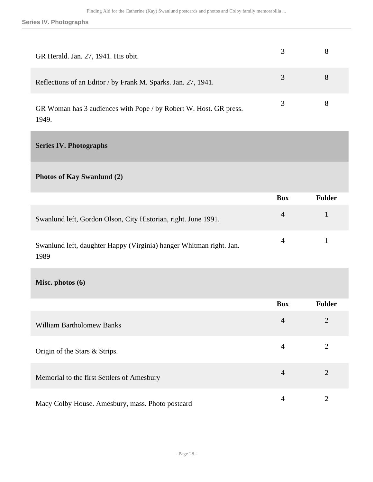**Series IV. Photographs**

| GR Herald. Jan. 27, 1941. His obit.                                        |   |  |
|----------------------------------------------------------------------------|---|--|
| Reflections of an Editor / by Frank M. Sparks. Jan. 27, 1941.              | 3 |  |
| GR Woman has 3 audiences with Pope / by Robert W. Host. GR press.<br>1949. | 3 |  |

<span id="page-27-0"></span>**Series IV. Photographs** 

**Photos of Kay Swanlund (2)** 

|                                                                     | <b>Box</b> | Folder |
|---------------------------------------------------------------------|------------|--------|
| Swanlund left, Gordon Olson, City Historian, right. June 1991.      | $\sim$ 4   |        |
| Swanlund left, daughter Happy (Virginia) hanger Whitman right. Jan. |            |        |

1989

**Misc. photos (6)** 

|                                                  | <b>Box</b>     | <b>Folder</b>  |
|--------------------------------------------------|----------------|----------------|
| <b>William Bartholomew Banks</b>                 | $\overline{4}$ | $\overline{2}$ |
| Origin of the Stars & Strips.                    | 4              | 2              |
| Memorial to the first Settlers of Amesbury       | $\overline{4}$ | $\overline{2}$ |
| Macy Colby House. Amesbury, mass. Photo postcard | 4              |                |